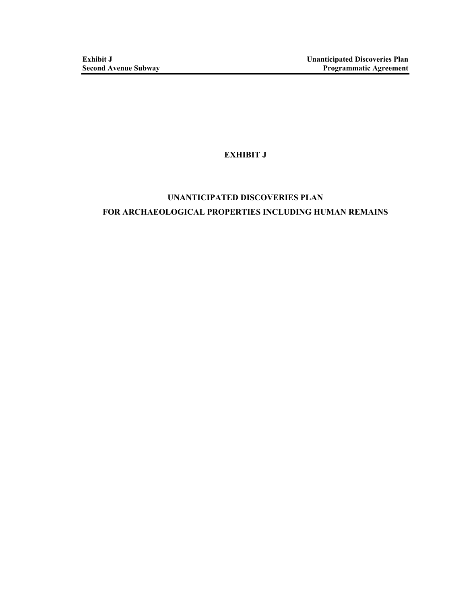## **EXHIBIT J**

# **UNANTICIPATED DISCOVERIES PLAN FOR ARCHAEOLOGICAL PROPERTIES INCLUDING HUMAN REMAINS**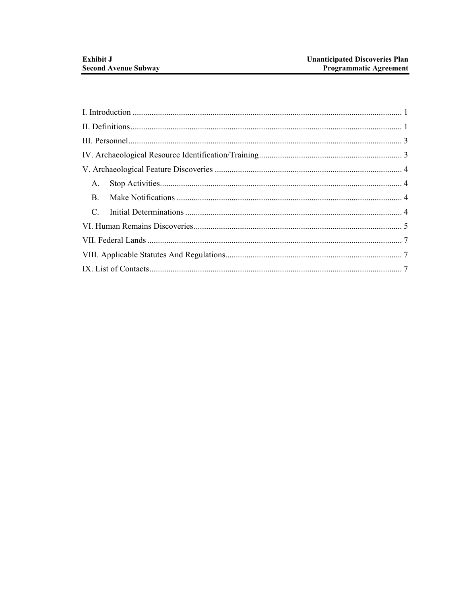| A.          |  |
|-------------|--|
| $B_{\cdot}$ |  |
| $C_{\cdot}$ |  |
|             |  |
|             |  |
|             |  |
|             |  |
|             |  |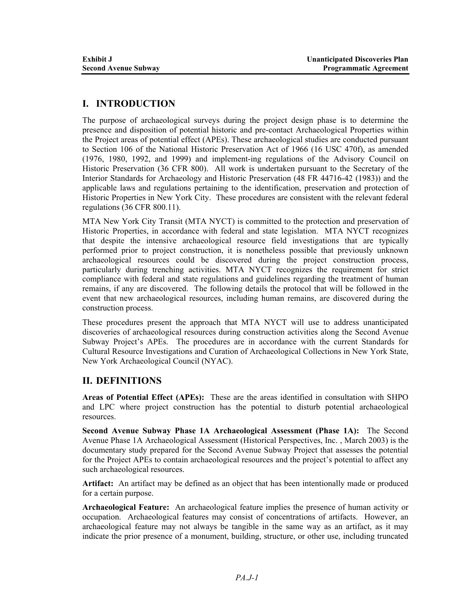## **I. INTRODUCTION**

The purpose of archaeological surveys during the project design phase is to determine the presence and disposition of potential historic and pre-contact Archaeological Properties within the Project areas of potential effect (APEs). These archaeological studies are conducted pursuant to Section 106 of the National Historic Preservation Act of 1966 (16 USC 470f), as amended (1976, 1980, 1992, and 1999) and implement-ing regulations of the Advisory Council on Historic Preservation (36 CFR 800). All work is undertaken pursuant to the Secretary of the Interior Standards for Archaeology and Historic Preservation (48 FR 44716-42 (1983)) and the applicable laws and regulations pertaining to the identification, preservation and protection of Historic Properties in New York City. These procedures are consistent with the relevant federal regulations (36 CFR 800.11).

MTA New York City Transit (MTA NYCT) is committed to the protection and preservation of Historic Properties, in accordance with federal and state legislation. MTA NYCT recognizes that despite the intensive archaeological resource field investigations that are typically performed prior to project construction, it is nonetheless possible that previously unknown archaeological resources could be discovered during the project construction process, particularly during trenching activities. MTA NYCT recognizes the requirement for strict compliance with federal and state regulations and guidelines regarding the treatment of human remains, if any are discovered. The following details the protocol that will be followed in the event that new archaeological resources, including human remains, are discovered during the construction process.

These procedures present the approach that MTA NYCT will use to address unanticipated discoveries of archaeological resources during construction activities along the Second Avenue Subway Project's APEs. The procedures are in accordance with the current Standards for Cultural Resource Investigations and Curation of Archaeological Collections in New York State, New York Archaeological Council (NYAC).

## **II. DEFINITIONS**

**Areas of Potential Effect (APEs):** These are the areas identified in consultation with SHPO and LPC where project construction has the potential to disturb potential archaeological resources.

**Second Avenue Subway Phase 1A Archaeological Assessment (Phase 1A):** The Second Avenue Phase 1A Archaeological Assessment (Historical Perspectives, Inc. , March 2003) is the documentary study prepared for the Second Avenue Subway Project that assesses the potential for the Project APEs to contain archaeological resources and the project's potential to affect any such archaeological resources.

**Artifact:** An artifact may be defined as an object that has been intentionally made or produced for a certain purpose.

**Archaeological Feature:** An archaeological feature implies the presence of human activity or occupation. Archaeological features may consist of concentrations of artifacts. However, an archaeological feature may not always be tangible in the same way as an artifact, as it may indicate the prior presence of a monument, building, structure, or other use, including truncated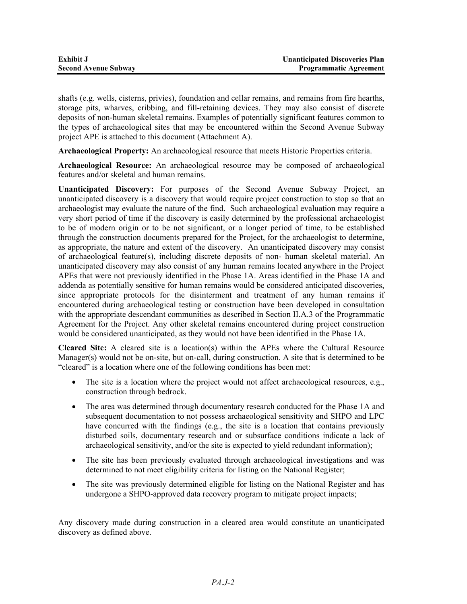| <b>Exhibit J</b>            | <b>Unanticipated Discoveries Plan</b> |
|-----------------------------|---------------------------------------|
| <b>Second Avenue Subway</b> | <b>Programmatic Agreement</b>         |

shafts (e.g. wells, cisterns, privies), foundation and cellar remains, and remains from fire hearths, storage pits, wharves, cribbing, and fill-retaining devices. They may also consist of discrete deposits of non-human skeletal remains. Examples of potentially significant features common to the types of archaeological sites that may be encountered within the Second Avenue Subway project APE is attached to this document (Attachment A).

**Archaeological Property:** An archaeological resource that meets Historic Properties criteria.

**Archaeological Resource:** An archaeological resource may be composed of archaeological features and/or skeletal and human remains.

**Unanticipated Discovery:** For purposes of the Second Avenue Subway Project, an unanticipated discovery is a discovery that would require project construction to stop so that an archaeologist may evaluate the nature of the find. Such archaeological evaluation may require a very short period of time if the discovery is easily determined by the professional archaeologist to be of modern origin or to be not significant, or a longer period of time, to be established through the construction documents prepared for the Project, for the archaeologist to determine, as appropriate, the nature and extent of the discovery. An unanticipated discovery may consist of archaeological feature(s), including discrete deposits of non- human skeletal material. An unanticipated discovery may also consist of any human remains located anywhere in the Project APEs that were not previously identified in the Phase 1A. Areas identified in the Phase 1A and addenda as potentially sensitive for human remains would be considered anticipated discoveries, since appropriate protocols for the disinterment and treatment of any human remains if encountered during archaeological testing or construction have been developed in consultation with the appropriate descendant communities as described in Section II.A.3 of the Programmatic Agreement for the Project. Any other skeletal remains encountered during project construction would be considered unanticipated, as they would not have been identified in the Phase 1A.

**Cleared Site:** A cleared site is a location(s) within the APEs where the Cultural Resource Manager(s) would not be on-site, but on-call, during construction. A site that is determined to be "cleared" is a location where one of the following conditions has been met:

- The site is a location where the project would not affect archaeological resources, e.g., construction through bedrock.
- The area was determined through documentary research conducted for the Phase 1A and subsequent documentation to not possess archaeological sensitivity and SHPO and LPC have concurred with the findings (e.g., the site is a location that contains previously disturbed soils, documentary research and or subsurface conditions indicate a lack of archaeological sensitivity, and/or the site is expected to yield redundant information);
- The site has been previously evaluated through archaeological investigations and was determined to not meet eligibility criteria for listing on the National Register;
- The site was previously determined eligible for listing on the National Register and has undergone a SHPO-approved data recovery program to mitigate project impacts;

Any discovery made during construction in a cleared area would constitute an unanticipated discovery as defined above.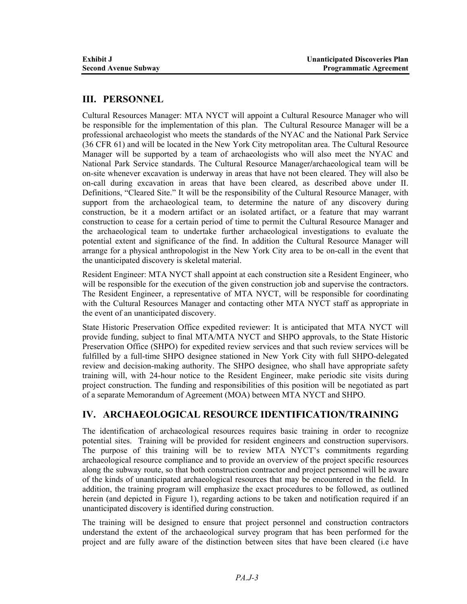## **III. PERSONNEL**

Cultural Resources Manager: MTA NYCT will appoint a Cultural Resource Manager who will be responsible for the implementation of this plan. The Cultural Resource Manager will be a professional archaeologist who meets the standards of the NYAC and the National Park Service (36 CFR 61) and will be located in the New York City metropolitan area. The Cultural Resource Manager will be supported by a team of archaeologists who will also meet the NYAC and National Park Service standards. The Cultural Resource Manager**/**archaeological team will be on-site whenever excavation is underway in areas that have not been cleared. They will also be on-call during excavation in areas that have been cleared, as described above under II. Definitions, "Cleared Site." It will be the responsibility of the Cultural Resource Manager, with support from the archaeological team, to determine the nature of any discovery during construction, be it a modern artifact or an isolated artifact, or a feature that may warrant construction to cease for a certain period of time to permit the Cultural Resource Manager and the archaeological team to undertake further archaeological investigations to evaluate the potential extent and significance of the find. In addition the Cultural Resource Manager will arrange for a physical anthropologist in the New York City area to be on-call in the event that the unanticipated discovery is skeletal material.

Resident Engineer: MTA NYCT shall appoint at each construction site a Resident Engineer, who will be responsible for the execution of the given construction job and supervise the contractors. The Resident Engineer, a representative of MTA NYCT, will be responsible for coordinating with the Cultural Resources Manager and contacting other MTA NYCT staff as appropriate in the event of an unanticipated discovery.

State Historic Preservation Office expedited reviewer: It is anticipated that MTA NYCT will provide funding, subject to final MTA/MTA NYCT and SHPO approvals, to the State Historic Preservation Office (SHPO) for expedited review services and that such review services will be fulfilled by a full-time SHPO designee stationed in New York City with full SHPO-delegated review and decision-making authority. The SHPO designee, who shall have appropriate safety training will, with 24-hour notice to the Resident Engineer, make periodic site visits during project construction. The funding and responsibilities of this position will be negotiated as part of a separate Memorandum of Agreement (MOA) between MTA NYCT and SHPO.

## **IV. ARCHAEOLOGICAL RESOURCE IDENTIFICATION/TRAINING**

The identification of archaeological resources requires basic training in order to recognize potential sites. Training will be provided for resident engineers and construction supervisors. The purpose of this training will be to review MTA NYCT's commitments regarding archaeological resource compliance and to provide an overview of the project specific resources along the subway route, so that both construction contractor and project personnel will be aware of the kinds of unanticipated archaeological resources that may be encountered in the field. In addition, the training program will emphasize the exact procedures to be followed, as outlined herein (and depicted in Figure 1), regarding actions to be taken and notification required if an unanticipated discovery is identified during construction.

The training will be designed to ensure that project personnel and construction contractors understand the extent of the archaeological survey program that has been performed for the project and are fully aware of the distinction between sites that have been cleared (i.e have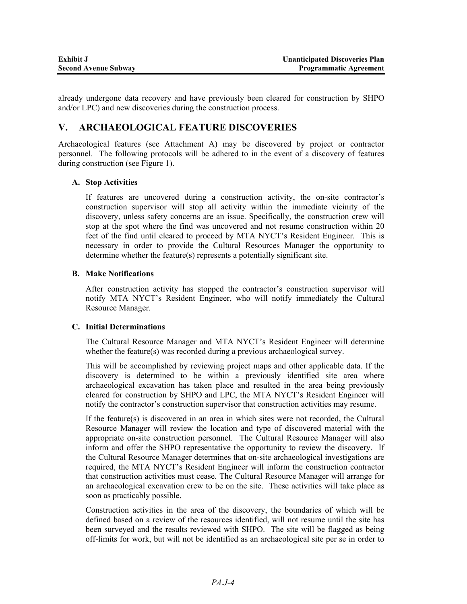already undergone data recovery and have previously been cleared for construction by SHPO and/or LPC) and new discoveries during the construction process.

## **V. ARCHAEOLOGICAL FEATURE DISCOVERIES**

Archaeological features (see Attachment A) may be discovered by project or contractor personnel. The following protocols will be adhered to in the event of a discovery of features during construction (see Figure 1).

#### **A. Stop Activities**

If features are uncovered during a construction activity, the on-site contractor's construction supervisor will stop all activity within the immediate vicinity of the discovery, unless safety concerns are an issue. Specifically, the construction crew will stop at the spot where the find was uncovered and not resume construction within 20 feet of the find until cleared to proceed by MTA NYCT's Resident Engineer. This is necessary in order to provide the Cultural Resources Manager the opportunity to determine whether the feature(s) represents a potentially significant site.

#### **B. Make Notifications**

After construction activity has stopped the contractor's construction supervisor will notify MTA NYCT's Resident Engineer, who will notify immediately the Cultural Resource Manager.

#### **C. Initial Determinations**

The Cultural Resource Manager and MTA NYCT's Resident Engineer will determine whether the feature(s) was recorded during a previous archaeological survey.

This will be accomplished by reviewing project maps and other applicable data. If the discovery is determined to be within a previously identified site area where archaeological excavation has taken place and resulted in the area being previously cleared for construction by SHPO and LPC, the MTA NYCT's Resident Engineer will notify the contractor's construction supervisor that construction activities may resume.

If the feature(s) is discovered in an area in which sites were not recorded, the Cultural Resource Manager will review the location and type of discovered material with the appropriate on-site construction personnel. The Cultural Resource Manager will also inform and offer the SHPO representative the opportunity to review the discovery. If the Cultural Resource Manager determines that on-site archaeological investigations are required, the MTA NYCT's Resident Engineer will inform the construction contractor that construction activities must cease. The Cultural Resource Manager will arrange for an archaeological excavation crew to be on the site. These activities will take place as soon as practicably possible.

Construction activities in the area of the discovery, the boundaries of which will be defined based on a review of the resources identified, will not resume until the site has been surveyed and the results reviewed with SHPO. The site will be flagged as being off-limits for work, but will not be identified as an archaeological site per se in order to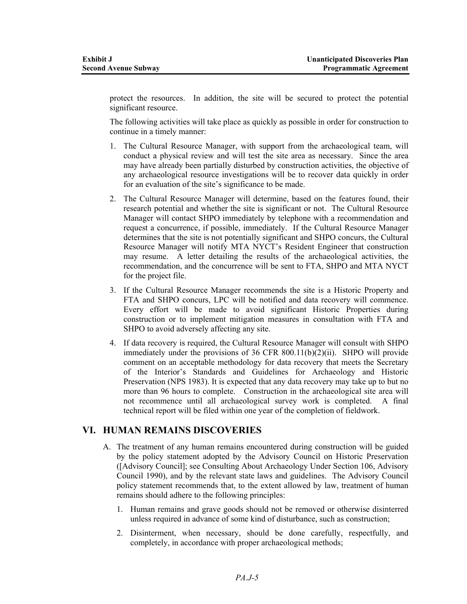protect the resources. In addition, the site will be secured to protect the potential significant resource.

The following activities will take place as quickly as possible in order for construction to continue in a timely manner:

- 1. The Cultural Resource Manager, with support from the archaeological team, will conduct a physical review and will test the site area as necessary. Since the area may have already been partially disturbed by construction activities, the objective of any archaeological resource investigations will be to recover data quickly in order for an evaluation of the site's significance to be made.
- 2. The Cultural Resource Manager will determine, based on the features found, their research potential and whether the site is significant or not. The Cultural Resource Manager will contact SHPO immediately by telephone with a recommendation and request a concurrence, if possible, immediately. If the Cultural Resource Manager determines that the site is not potentially significant and SHPO concurs, the Cultural Resource Manager will notify MTA NYCT's Resident Engineer that construction may resume. A letter detailing the results of the archaeological activities, the recommendation, and the concurrence will be sent to FTA, SHPO and MTA NYCT for the project file.
- 3. If the Cultural Resource Manager recommends the site is a Historic Property and FTA and SHPO concurs, LPC will be notified and data recovery will commence. Every effort will be made to avoid significant Historic Properties during construction or to implement mitigation measures in consultation with FTA and SHPO to avoid adversely affecting any site.
- 4. If data recovery is required, the Cultural Resource Manager will consult with SHPO immediately under the provisions of 36 CFR 800.11(b)(2)(ii). SHPO will provide comment on an acceptable methodology for data recovery that meets the Secretary of the Interior's Standards and Guidelines for Archaeology and Historic Preservation (NPS 1983). It is expected that any data recovery may take up to but no more than 96 hours to complete. Construction in the archaeological site area will not recommence until all archaeological survey work is completed. A final technical report will be filed within one year of the completion of fieldwork.

### **VI. HUMAN REMAINS DISCOVERIES**

- A. The treatment of any human remains encountered during construction will be guided by the policy statement adopted by the Advisory Council on Historic Preservation ([Advisory Council]; see Consulting About Archaeology Under Section 106, Advisory Council 1990), and by the relevant state laws and guidelines. The Advisory Council policy statement recommends that, to the extent allowed by law, treatment of human remains should adhere to the following principles:
	- 1. Human remains and grave goods should not be removed or otherwise disinterred unless required in advance of some kind of disturbance, such as construction;
	- 2. Disinterment, when necessary, should be done carefully, respectfully, and completely, in accordance with proper archaeological methods;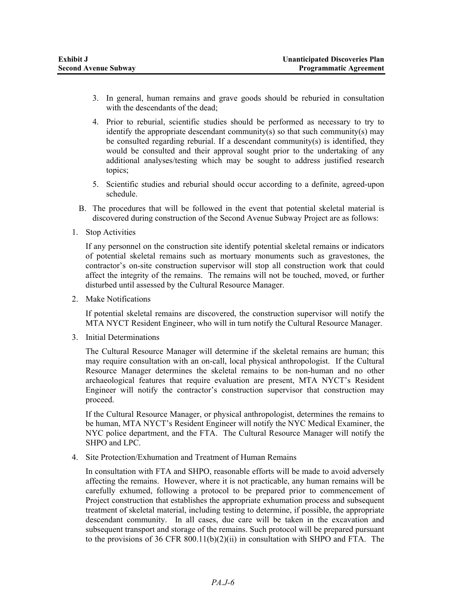- 3. In general, human remains and grave goods should be reburied in consultation with the descendants of the dead:
- 4. Prior to reburial, scientific studies should be performed as necessary to try to identify the appropriate descendant community(s) so that such community(s) may be consulted regarding reburial. If a descendant community(s) is identified, they would be consulted and their approval sought prior to the undertaking of any additional analyses/testing which may be sought to address justified research topics;
- 5. Scientific studies and reburial should occur according to a definite, agreed-upon schedule.
- B. The procedures that will be followed in the event that potential skeletal material is discovered during construction of the Second Avenue Subway Project are as follows:
- 1. Stop Activities

If any personnel on the construction site identify potential skeletal remains or indicators of potential skeletal remains such as mortuary monuments such as gravestones, the contractor's on-site construction supervisor will stop all construction work that could affect the integrity of the remains. The remains will not be touched, moved, or further disturbed until assessed by the Cultural Resource Manager.

2. Make Notifications

If potential skeletal remains are discovered, the construction supervisor will notify the MTA NYCT Resident Engineer, who will in turn notify the Cultural Resource Manager.

3. Initial Determinations

The Cultural Resource Manager will determine if the skeletal remains are human; this may require consultation with an on-call, local physical anthropologist. If the Cultural Resource Manager determines the skeletal remains to be non-human and no other archaeological features that require evaluation are present, MTA NYCT's Resident Engineer will notify the contractor's construction supervisor that construction may proceed.

If the Cultural Resource Manager, or physical anthropologist, determines the remains to be human, MTA NYCT's Resident Engineer will notify the NYC Medical Examiner, the NYC police department, and the FTA. The Cultural Resource Manager will notify the SHPO and LPC.

4. Site Protection/Exhumation and Treatment of Human Remains

In consultation with FTA and SHPO, reasonable efforts will be made to avoid adversely affecting the remains. However, where it is not practicable, any human remains will be carefully exhumed, following a protocol to be prepared prior to commencement of Project construction that establishes the appropriate exhumation process and subsequent treatment of skeletal material, including testing to determine, if possible, the appropriate descendant community. In all cases, due care will be taken in the excavation and subsequent transport and storage of the remains. Such protocol will be prepared pursuant to the provisions of 36 CFR 800.11(b)(2)(ii) in consultation with SHPO and FTA. The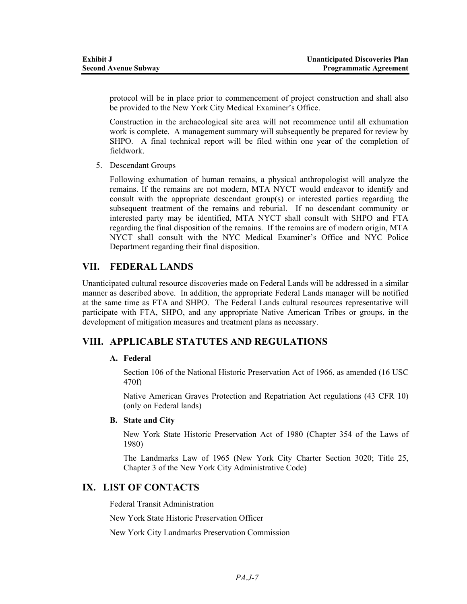protocol will be in place prior to commencement of project construction and shall also be provided to the New York City Medical Examiner's Office.

Construction in the archaeological site area will not recommence until all exhumation work is complete. A management summary will subsequently be prepared for review by SHPO. A final technical report will be filed within one year of the completion of fieldwork.

5. Descendant Groups

Following exhumation of human remains, a physical anthropologist will analyze the remains. If the remains are not modern, MTA NYCT would endeavor to identify and consult with the appropriate descendant group(s) or interested parties regarding the subsequent treatment of the remains and reburial. If no descendant community or interested party may be identified, MTA NYCT shall consult with SHPO and FTA regarding the final disposition of the remains. If the remains are of modern origin, MTA NYCT shall consult with the NYC Medical Examiner's Office and NYC Police Department regarding their final disposition.

### **VII. FEDERAL LANDS**

Unanticipated cultural resource discoveries made on Federal Lands will be addressed in a similar manner as described above. In addition, the appropriate Federal Lands manager will be notified at the same time as FTA and SHPO. The Federal Lands cultural resources representative will participate with FTA, SHPO, and any appropriate Native American Tribes or groups, in the development of mitigation measures and treatment plans as necessary.

## **VIII. APPLICABLE STATUTES AND REGULATIONS**

### **A. Federal**

Section 106 of the National Historic Preservation Act of 1966, as amended (16 USC 470f)

Native American Graves Protection and Repatriation Act regulations (43 CFR 10) (only on Federal lands)

### **B. State and City**

New York State Historic Preservation Act of 1980 (Chapter 354 of the Laws of 1980)

The Landmarks Law of 1965 (New York City Charter Section 3020; Title 25, Chapter 3 of the New York City Administrative Code)

## **IX. LIST OF CONTACTS**

Federal Transit Administration

New York State Historic Preservation Officer

New York City Landmarks Preservation Commission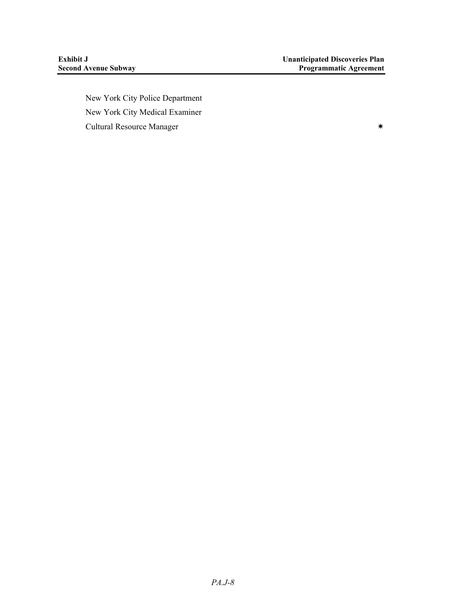New York City Police Department New York City Medical Examiner Cultural Resource Manager **XX**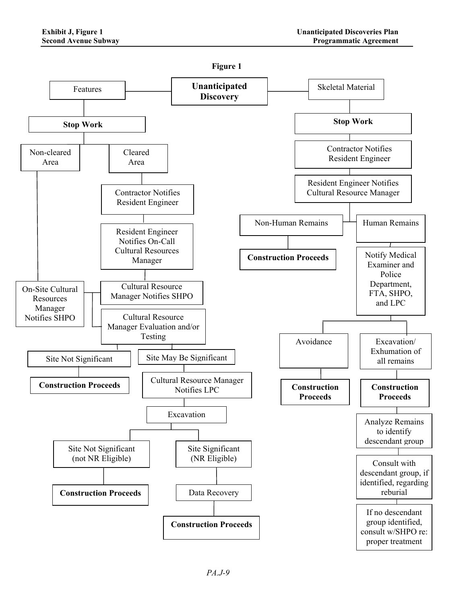